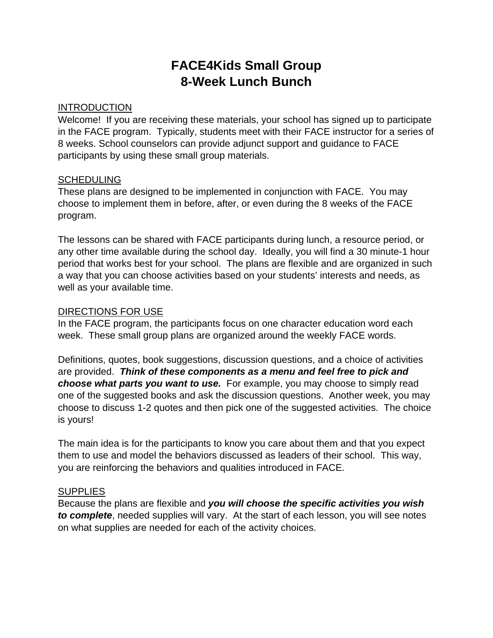# **FACE4Kids Small Group 8-Week Lunch Bunch**

### **INTRODUCTION**

Welcome! If you are receiving these materials, your school has signed up to participate in the FACE program. Typically, students meet with their FACE instructor for a series of 8 weeks. School counselors can provide adjunct support and guidance to FACE participants by using these small group materials.

### SCHEDULING

These plans are designed to be implemented in conjunction with FACE. You may choose to implement them in before, after, or even during the 8 weeks of the FACE program.

The lessons can be shared with FACE participants during lunch, a resource period, or any other time available during the school day. Ideally, you will find a 30 minute-1 hour period that works best for your school. The plans are flexible and are organized in such a way that you can choose activities based on your students' interests and needs, as well as your available time.

# DIRECTIONS FOR USE

In the FACE program, the participants focus on one character education word each week. These small group plans are organized around the weekly FACE words.

Definitions, quotes, book suggestions, discussion questions, and a choice of activities are provided. *Think of these components as a menu and feel free to pick and choose what parts you want to use.* For example, you may choose to simply read one of the suggested books and ask the discussion questions. Another week, you may choose to discuss 1-2 quotes and then pick one of the suggested activities. The choice is yours!

The main idea is for the participants to know you care about them and that you expect them to use and model the behaviors discussed as leaders of their school. This way, you are reinforcing the behaviors and qualities introduced in FACE.

### **SUPPLIES**

Because the plans are flexible and *you will choose the specific activities you wish to complete*, needed supplies will vary. At the start of each lesson, you will see notes on what supplies are needed for each of the activity choices.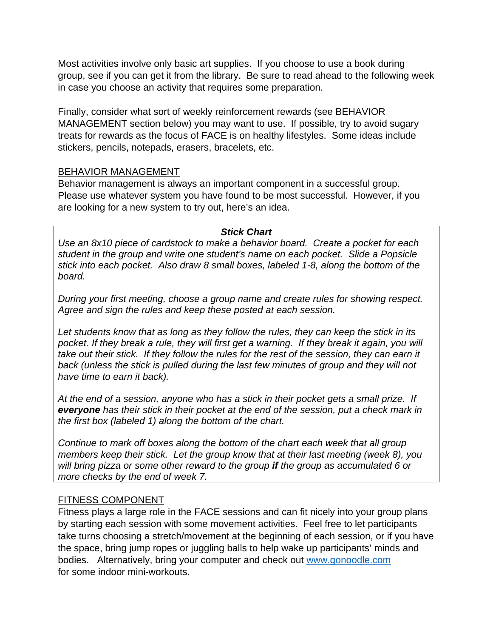Most activities involve only basic art supplies. If you choose to use a book during group, see if you can get it from the library. Be sure to read ahead to the following week in case you choose an activity that requires some preparation.

Finally, consider what sort of weekly reinforcement rewards (see BEHAVIOR MANAGEMENT section below) you may want to use. If possible, try to avoid sugary treats for rewards as the focus of FACE is on healthy lifestyles. Some ideas include stickers, pencils, notepads, erasers, bracelets, etc.

### BEHAVIOR MANAGEMENT

Behavior management is always an important component in a successful group. Please use whatever system you have found to be most successful. However, if you are looking for a new system to try out, here's an idea.

### *Stick Chart*

*Use an 8x10 piece of cardstock to make a behavior board. Create a pocket for each student in the group and write one student's name on each pocket. Slide a Popsicle stick into each pocket. Also draw 8 small boxes, labeled 1-8, along the bottom of the board.* 

*During your first meeting, choose a group name and create rules for showing respect. Agree and sign the rules and keep these posted at each session.* 

*Let students know that as long as they follow the rules, they can keep the stick in its*  pocket. If they break a rule, they will first get a warning. If they break it again, you will *take out their stick. If they follow the rules for the rest of the session, they can earn it back (unless the stick is pulled during the last few minutes of group and they will not have time to earn it back).* 

*At the end of a session, anyone who has a stick in their pocket gets a small prize. If everyone has their stick in their pocket at the end of the session, put a check mark in the first box (labeled 1) along the bottom of the chart.* 

*Continue to mark off boxes along the bottom of the chart each week that all group members keep their stick. Let the group know that at their last meeting (week 8), you will bring pizza or some other reward to the group if the group as accumulated 6 or more checks by the end of week 7.*

# FITNESS COMPONENT

Fitness plays a large role in the FACE sessions and can fit nicely into your group plans by starting each session with some movement activities. Feel free to let participants take turns choosing a stretch/movement at the beginning of each session, or if you have the space, bring jump ropes or juggling balls to help wake up participants' minds and bodies. Alternatively, bring your computer and check out www.gonoodle.com for some indoor mini-workouts.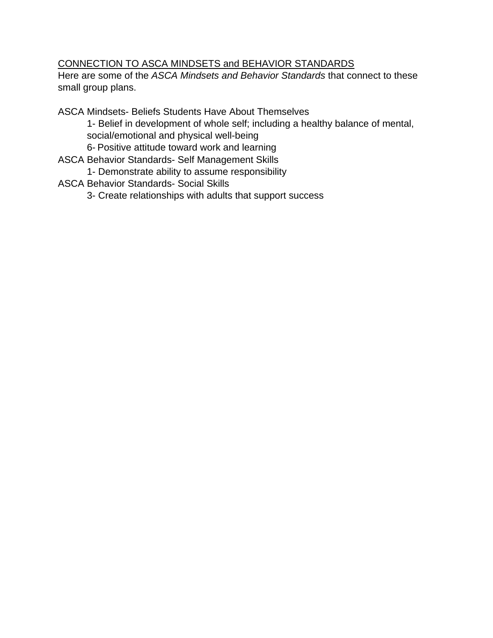# CONNECTION TO ASCA MINDSETS and BEHAVIOR STANDARDS

Here are some of the *ASCA Mindsets and Behavior Standards* that connect to these small group plans.

ASCA Mindsets- Beliefs Students Have About Themselves

1- Belief in development of whole self; including a healthy balance of mental, social/emotional and physical well-being

- 6- Positive attitude toward work and learning
- ASCA Behavior Standards- Self Management Skills
	- 1- Demonstrate ability to assume responsibility
- ASCA Behavior Standards- Social Skills
	- 3- Create relationships with adults that support success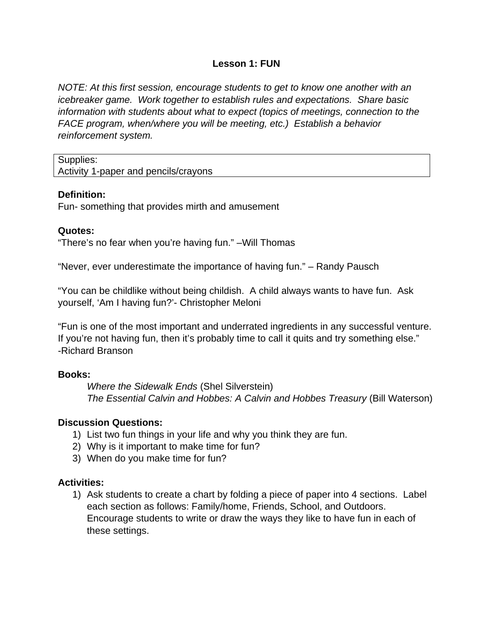### **Lesson 1: FUN**

*NOTE: At this first session, encourage students to get to know one another with an icebreaker game. Work together to establish rules and expectations. Share basic information with students about what to expect (topics of meetings, connection to the FACE program, when/where you will be meeting, etc.) Establish a behavior reinforcement system.* 

Supplies:

Activity 1-paper and pencils/crayons

### **Definition:**

Fun- something that provides mirth and amusement

### **Quotes:**

"There's no fear when you're having fun." –Will Thomas

"Never, ever underestimate the importance of having fun." – Randy Pausch

"You can be childlike without being childish. A child always wants to have fun. Ask yourself, 'Am I having fun?'- Christopher Meloni

"Fun is one of the most important and underrated ingredients in any successful venture. If you're not having fun, then it's probably time to call it quits and try something else." -Richard Branson

# **Books:**

*Where the Sidewalk Ends* (Shel Silverstein) *The Essential Calvin and Hobbes: A Calvin and Hobbes Treasury* (Bill Waterson)

# **Discussion Questions:**

- 1) List two fun things in your life and why you think they are fun.
- 2) Why is it important to make time for fun?
- 3) When do you make time for fun?

# **Activities:**

1) Ask students to create a chart by folding a piece of paper into 4 sections. Label each section as follows: Family/home, Friends, School, and Outdoors. Encourage students to write or draw the ways they like to have fun in each of these settings.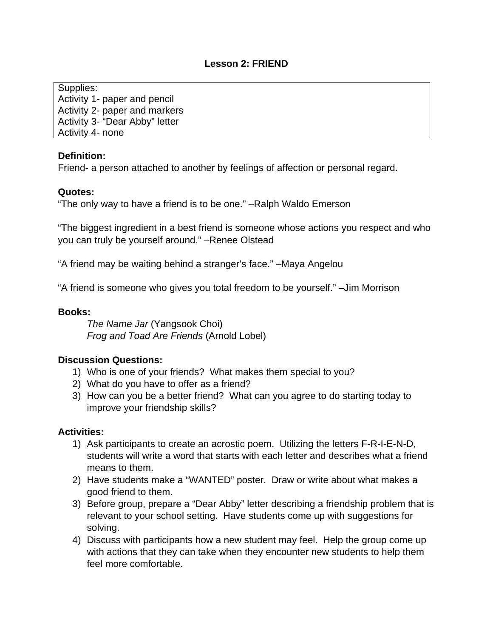## **Lesson 2: FRIEND**

Supplies: Activity 1- paper and pencil Activity 2- paper and markers Activity 3- "Dear Abby" letter Activity 4- none

### **Definition:**

Friend- a person attached to another by feelings of affection or personal regard.

### **Quotes:**

"The only way to have a friend is to be one." –Ralph Waldo Emerson

"The biggest ingredient in a best friend is someone whose actions you respect and who you can truly be yourself around." –Renee Olstead

"A friend may be waiting behind a stranger's face." –Maya Angelou

"A friend is someone who gives you total freedom to be yourself." –Jim Morrison

### **Books:**

*The Name Jar* (Yangsook Choi)  *Frog and Toad Are Friends* (Arnold Lobel)

### **Discussion Questions:**

- 1) Who is one of your friends? What makes them special to you?
- 2) What do you have to offer as a friend?
- 3) How can you be a better friend? What can you agree to do starting today to improve your friendship skills?

- 1) Ask participants to create an acrostic poem. Utilizing the letters F-R-I-E-N-D, students will write a word that starts with each letter and describes what a friend means to them.
- 2) Have students make a "WANTED" poster. Draw or write about what makes a good friend to them.
- 3) Before group, prepare a "Dear Abby" letter describing a friendship problem that is relevant to your school setting. Have students come up with suggestions for solving.
- 4) Discuss with participants how a new student may feel. Help the group come up with actions that they can take when they encounter new students to help them feel more comfortable.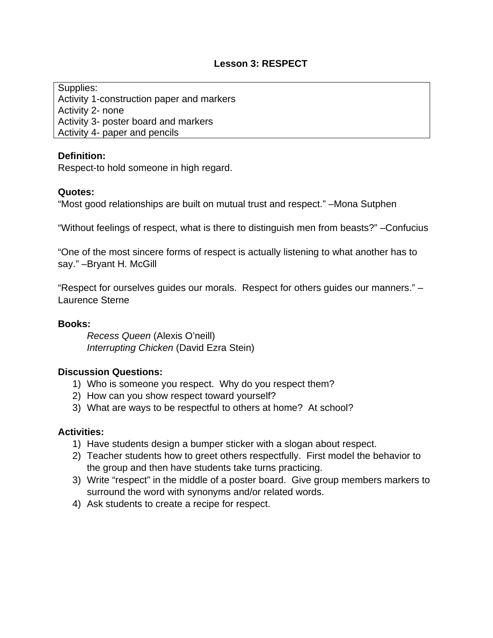## **Lesson 3: RESPECT**

Supplies: Activity 1-construction paper and markers Activity 2- none Activity 3- poster board and markers Activity 4- paper and pencils

### **Definition:**

Respect-to hold someone in high regard.

#### **Quotes:**

"Most good relationships are built on mutual trust and respect." –Mona Sutphen

"Without feelings of respect, what is there to distinguish men from beasts?" –Confucius

"One of the most sincere forms of respect is actually listening to what another has to say." – Bryant H. McGill

"Respect for ourselves guides our morals. Respect for others guides our manners." – Laurence Sterne

#### **Books:**

*Recess Queen* (Alexis O'neill) *Interrupting Chicken* (David Ezra Stein)

#### **Discussion Questions:**

- 1) Who is someone you respect. Why do you respect them?
- 2) How can you show respect toward yourself?
- 3) What are ways to be respectful to others at home? At school?

- 1) Have students design a bumper sticker with a slogan about respect.
- 2) Teacher students how to greet others respectfully. First model the behavior to the group and then have students take turns practicing.
- 3) Write "respect" in the middle of a poster board. Give group members markers to surround the word with synonyms and/or related words.
- 4) Ask students to create a recipe for respect.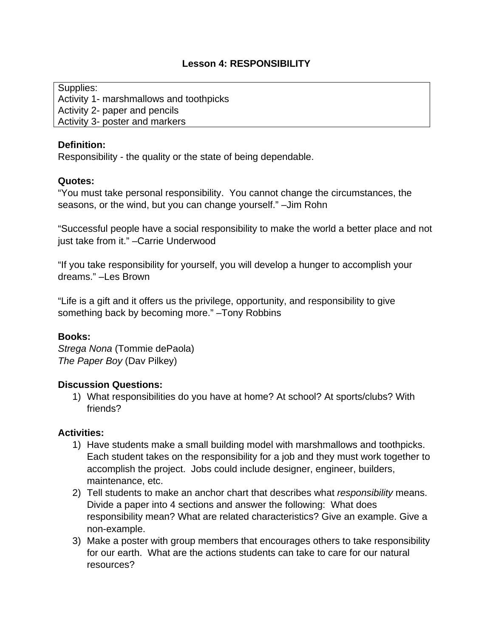# **Lesson 4: RESPONSIBILITY**

Supplies: Activity 1- marshmallows and toothpicks Activity 2- paper and pencils Activity 3- poster and markers

## **Definition:**

Responsibility - the quality or the state of being dependable.

# **Quotes:**

"You must take personal responsibility. You cannot change the circumstances, the seasons, or the wind, but you can change yourself." –Jim Rohn

"Successful people have a social responsibility to make the world a better place and not just take from it." –Carrie Underwood

"If you take responsibility for yourself, you will develop a hunger to accomplish your dreams." –Les Brown

"Life is a gift and it offers us the privilege, opportunity, and responsibility to give something back by becoming more." –Tony Robbins

# **Books:**

*Strega Nona* (Tommie dePaola) *The Paper Boy* (Dav Pilkey)

### **Discussion Questions:**

1) What responsibilities do you have at home? At school? At sports/clubs? With friends?

- 1) Have students make a small building model with marshmallows and toothpicks. Each student takes on the responsibility for a job and they must work together to accomplish the project. Jobs could include designer, engineer, builders, maintenance, etc.
- 2) Tell students to make an anchor chart that describes what *responsibility* means. Divide a paper into 4 sections and answer the following: What does responsibility mean? What are related characteristics? Give an example. Give a non-example.
- 3) Make a poster with group members that encourages others to take responsibility for our earth. What are the actions students can take to care for our natural resources?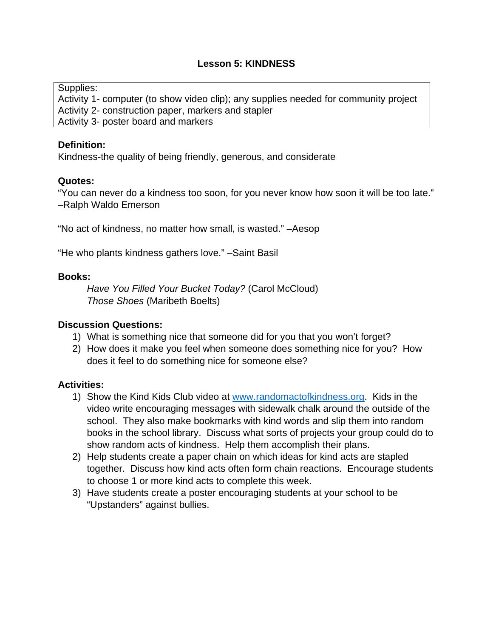# **Lesson 5: KINDNESS**

Supplies:

Activity 1- computer (to show video clip); any supplies needed for community project Activity 2- construction paper, markers and stapler Activity 3- poster board and markers

### **Definition:**

Kindness-the quality of being friendly, generous, and considerate

### **Quotes:**

"You can never do a kindness too soon, for you never know how soon it will be too late." –Ralph Waldo Emerson

"No act of kindness, no matter how small, is wasted." –Aesop

"He who plants kindness gathers love." –Saint Basil

### **Books:**

*Have You Filled Your Bucket Today?* (Carol McCloud) *Those Shoes* (Maribeth Boelts)

### **Discussion Questions:**

- 1) What is something nice that someone did for you that you won't forget?
- 2) How does it make you feel when someone does something nice for you? How does it feel to do something nice for someone else?

- 1) Show the Kind Kids Club video at www.randomactofkindness.org. Kids in the video write encouraging messages with sidewalk chalk around the outside of the school. They also make bookmarks with kind words and slip them into random books in the school library. Discuss what sorts of projects your group could do to show random acts of kindness. Help them accomplish their plans.
- 2) Help students create a paper chain on which ideas for kind acts are stapled together. Discuss how kind acts often form chain reactions. Encourage students to choose 1 or more kind acts to complete this week.
- 3) Have students create a poster encouraging students at your school to be "Upstanders" against bullies.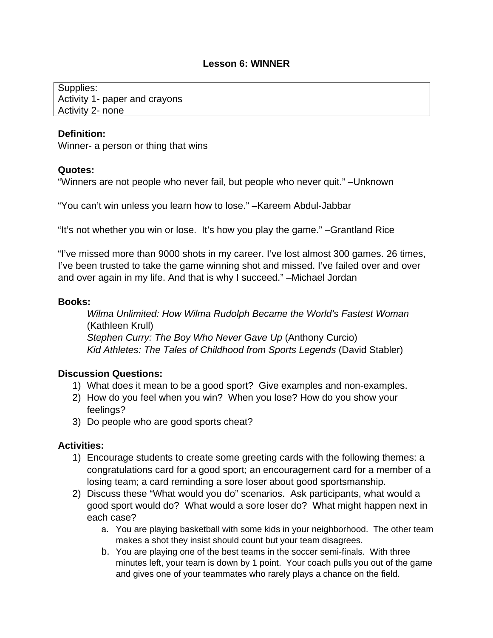### **Lesson 6: WINNER**

Supplies: Activity 1- paper and crayons Activity 2- none

#### **Definition:**

Winner- a person or thing that wins

#### **Quotes:**

"Winners are not people who never fail, but people who never quit." –Unknown

"You can't win unless you learn how to lose." –Kareem Abdul-Jabbar

"It's not whether you win or lose. It's how you play the game." –Grantland Rice

"I've missed more than 9000 shots in my career. I've lost almost 300 games. 26 times, I've been trusted to take the game winning shot and missed. I've failed over and over and over again in my life. And that is why I succeed." –Michael Jordan

#### **Books:**

*Wilma Unlimited: How Wilma Rudolph Became the World's Fastest Woman* (Kathleen Krull)  *Stephen Curry: The Boy Who Never Gave Up* (Anthony Curcio) *Kid Athletes: The Tales of Childhood from Sports Legends (David Stabler)* 

### **Discussion Questions:**

- 1) What does it mean to be a good sport? Give examples and non-examples.
- 2) How do you feel when you win? When you lose? How do you show your feelings?
- 3) Do people who are good sports cheat?

- 1) Encourage students to create some greeting cards with the following themes: a congratulations card for a good sport; an encouragement card for a member of a losing team; a card reminding a sore loser about good sportsmanship.
- 2) Discuss these "What would you do" scenarios. Ask participants, what would a good sport would do? What would a sore loser do? What might happen next in each case?
	- a. You are playing basketball with some kids in your neighborhood. The other team makes a shot they insist should count but your team disagrees.
	- b. You are playing one of the best teams in the soccer semi-finals. With three minutes left, your team is down by 1 point. Your coach pulls you out of the game and gives one of your teammates who rarely plays a chance on the field.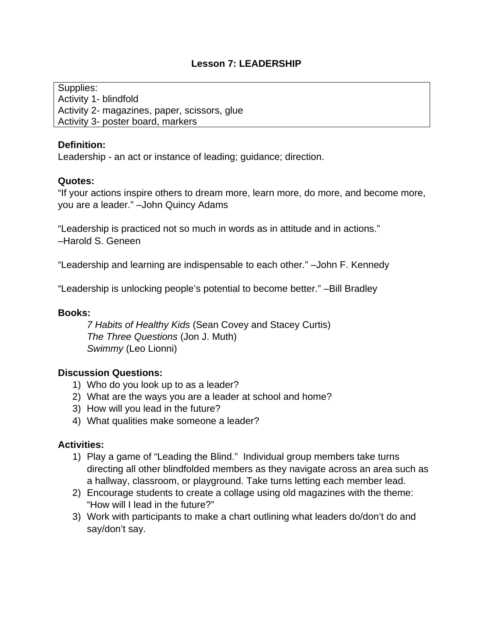# **Lesson 7: LEADERSHIP**

Supplies: Activity 1- blindfold Activity 2- magazines, paper, scissors, glue Activity 3- poster board, markers

### **Definition:**

Leadership - an act or instance of leading; guidance; direction.

### **Quotes:**

"If your actions inspire others to dream more, learn more, do more, and become more, you are a leader." –John Quincy Adams

"Leadership is practiced not so much in words as in attitude and in actions." –Harold S. Geneen

"Leadership and learning are indispensable to each other." –John F. Kennedy

"Leadership is unlocking people's potential to become better." –Bill Bradley

### **Books:**

*7 Habits of Healthy Kids* (Sean Covey and Stacey Curtis)  *The Three Questions* (Jon J. Muth)  *Swimmy* (Leo Lionni)

### **Discussion Questions:**

- 1) Who do you look up to as a leader?
- 2) What are the ways you are a leader at school and home?
- 3) How will you lead in the future?
- 4) What qualities make someone a leader?

- 1) Play a game of "Leading the Blind." Individual group members take turns directing all other blindfolded members as they navigate across an area such as a hallway, classroom, or playground. Take turns letting each member lead.
- 2) Encourage students to create a collage using old magazines with the theme: "How will I lead in the future?"
- 3) Work with participants to make a chart outlining what leaders do/don't do and say/don't say.